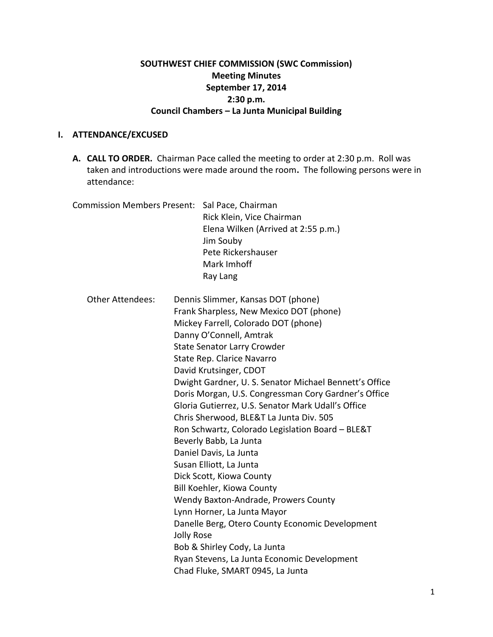## **SOUTHWEST CHIEF COMMISSION (SWC Commission) Meeting Minutes September 17, 2014 2:30 p.m. Council Chambers – La Junta Municipal Building**

## **I. ATTENDANCE/EXCUSED**

**A. CALL TO ORDER.** Chairman Pace called the meeting to order at 2:30 p.m. Roll was taken and introductions were made around the room**.** The following persons were in attendance:

| <b>Commission Members Present:</b> | Sal Pace, Chairman<br>Rick Klein, Vice Chairman<br>Elena Wilken (Arrived at 2:55 p.m.)<br>Jim Souby<br>Pete Rickershauser<br>Mark Imhoff<br>Ray Lang                                                                                                                                                                                                                                                                                                                                                                                                                                                                                                                                                                                                                                                                                                                                                                             |
|------------------------------------|----------------------------------------------------------------------------------------------------------------------------------------------------------------------------------------------------------------------------------------------------------------------------------------------------------------------------------------------------------------------------------------------------------------------------------------------------------------------------------------------------------------------------------------------------------------------------------------------------------------------------------------------------------------------------------------------------------------------------------------------------------------------------------------------------------------------------------------------------------------------------------------------------------------------------------|
| <b>Other Attendees:</b>            | Dennis Slimmer, Kansas DOT (phone)<br>Frank Sharpless, New Mexico DOT (phone)<br>Mickey Farrell, Colorado DOT (phone)<br>Danny O'Connell, Amtrak<br><b>State Senator Larry Crowder</b><br>State Rep. Clarice Navarro<br>David Krutsinger, CDOT<br>Dwight Gardner, U. S. Senator Michael Bennett's Office<br>Doris Morgan, U.S. Congressman Cory Gardner's Office<br>Gloria Gutierrez, U.S. Senator Mark Udall's Office<br>Chris Sherwood, BLE&T La Junta Div. 505<br>Ron Schwartz, Colorado Legislation Board - BLE&T<br>Beverly Babb, La Junta<br>Daniel Davis, La Junta<br>Susan Elliott, La Junta<br>Dick Scott, Kiowa County<br>Bill Koehler, Kiowa County<br>Wendy Baxton-Andrade, Prowers County<br>Lynn Horner, La Junta Mayor<br>Danelle Berg, Otero County Economic Development<br><b>Jolly Rose</b><br>Bob & Shirley Cody, La Junta<br>Ryan Stevens, La Junta Economic Development<br>Chad Fluke, SMART 0945, La Junta |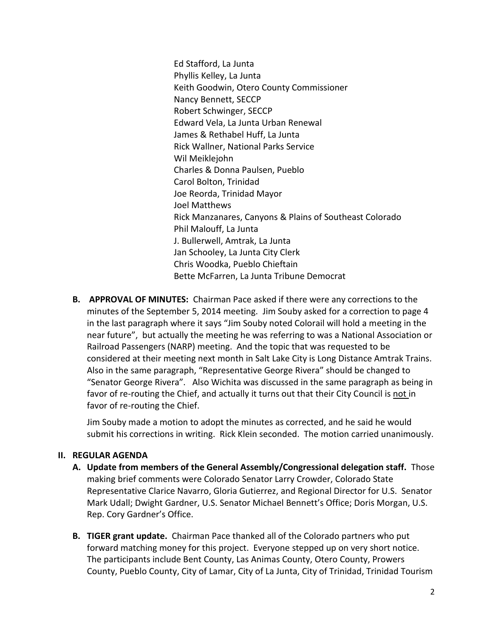Ed Stafford, La Junta Phyllis Kelley, La Junta Keith Goodwin, Otero County Commissioner Nancy Bennett, SECCP Robert Schwinger, SECCP Edward Vela, La Junta Urban Renewal James & Rethabel Huff, La Junta Rick Wallner, National Parks Service Wil Meiklejohn Charles & Donna Paulsen, Pueblo Carol Bolton, Trinidad Joe Reorda, Trinidad Mayor Joel Matthews Rick Manzanares, Canyons & Plains of Southeast Colorado Phil Malouff, La Junta J. Bullerwell, Amtrak, La Junta Jan Schooley, La Junta City Clerk Chris Woodka, Pueblo Chieftain Bette McFarren, La Junta Tribune Democrat

**B. APPROVAL OF MINUTES:** Chairman Pace asked if there were any corrections to the minutes of the September 5, 2014 meeting. Jim Souby asked for a correction to page 4 in the last paragraph where it says "Jim Souby noted Colorail will hold a meeting in the near future", but actually the meeting he was referring to was a National Association or Railroad Passengers (NARP) meeting. And the topic that was requested to be considered at their meeting next month in Salt Lake City is Long Distance Amtrak Trains. Also in the same paragraph, "Representative George Rivera" should be changed to "Senator George Rivera". Also Wichita was discussed in the same paragraph as being in favor of re-routing the Chief, and actually it turns out that their City Council is not in favor of re-routing the Chief.

Jim Souby made a motion to adopt the minutes as corrected, and he said he would submit his corrections in writing. Rick Klein seconded. The motion carried unanimously.

## **II. REGULAR AGENDA**

- **A. Update from members of the General Assembly/Congressional delegation staff.** Those making brief comments were Colorado Senator Larry Crowder, Colorado State Representative Clarice Navarro, Gloria Gutierrez, and Regional Director for U.S. Senator Mark Udall; Dwight Gardner, U.S. Senator Michael Bennett's Office; Doris Morgan, U.S. Rep. Cory Gardner's Office.
- **B. TIGER grant update.** Chairman Pace thanked all of the Colorado partners who put forward matching money for this project. Everyone stepped up on very short notice. The participants include Bent County, Las Animas County, Otero County, Prowers County, Pueblo County, City of Lamar, City of La Junta, City of Trinidad, Trinidad Tourism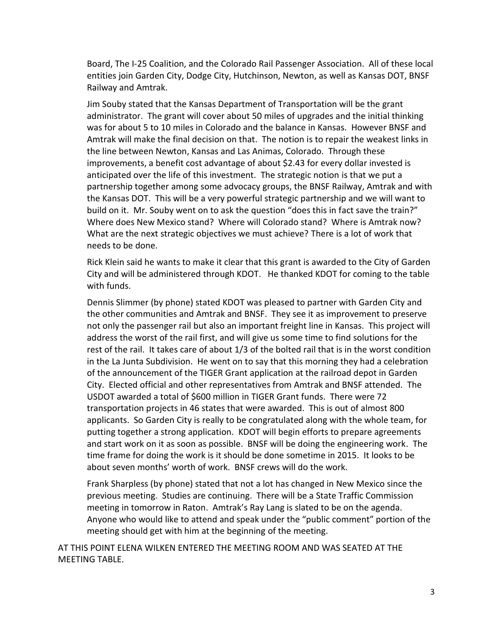Board, The I-25 Coalition, and the Colorado Rail Passenger Association. All of these local entities join Garden City, Dodge City, Hutchinson, Newton, as well as Kansas DOT, BNSF Railway and Amtrak.

Jim Souby stated that the Kansas Department of Transportation will be the grant administrator. The grant will cover about 50 miles of upgrades and the initial thinking was for about 5 to 10 miles in Colorado and the balance in Kansas. However BNSF and Amtrak will make the final decision on that. The notion is to repair the weakest links in the line between Newton, Kansas and Las Animas, Colorado. Through these improvements, a benefit cost advantage of about \$2.43 for every dollar invested is anticipated over the life of this investment. The strategic notion is that we put a partnership together among some advocacy groups, the BNSF Railway, Amtrak and with the Kansas DOT. This will be a very powerful strategic partnership and we will want to build on it. Mr. Souby went on to ask the question "does this in fact save the train?" Where does New Mexico stand? Where will Colorado stand? Where is Amtrak now? What are the next strategic objectives we must achieve? There is a lot of work that needs to be done.

Rick Klein said he wants to make it clear that this grant is awarded to the City of Garden City and will be administered through KDOT. He thanked KDOT for coming to the table with funds.

Dennis Slimmer (by phone) stated KDOT was pleased to partner with Garden City and the other communities and Amtrak and BNSF. They see it as improvement to preserve not only the passenger rail but also an important freight line in Kansas. This project will address the worst of the rail first, and will give us some time to find solutions for the rest of the rail. It takes care of about 1/3 of the bolted rail that is in the worst condition in the La Junta Subdivision. He went on to say that this morning they had a celebration of the announcement of the TIGER Grant application at the railroad depot in Garden City. Elected official and other representatives from Amtrak and BNSF attended. The USDOT awarded a total of \$600 million in TIGER Grant funds. There were 72 transportation projects in 46 states that were awarded. This is out of almost 800 applicants. So Garden City is really to be congratulated along with the whole team, for putting together a strong application. KDOT will begin efforts to prepare agreements and start work on it as soon as possible. BNSF will be doing the engineering work. The time frame for doing the work is it should be done sometime in 2015. It looks to be about seven months' worth of work. BNSF crews will do the work.

Frank Sharpless (by phone) stated that not a lot has changed in New Mexico since the previous meeting. Studies are continuing. There will be a State Traffic Commission meeting in tomorrow in Raton. Amtrak's Ray Lang is slated to be on the agenda. Anyone who would like to attend and speak under the "public comment" portion of the meeting should get with him at the beginning of the meeting.

AT THIS POINT ELENA WILKEN ENTERED THE MEETING ROOM AND WAS SEATED AT THE MEETING TABLE.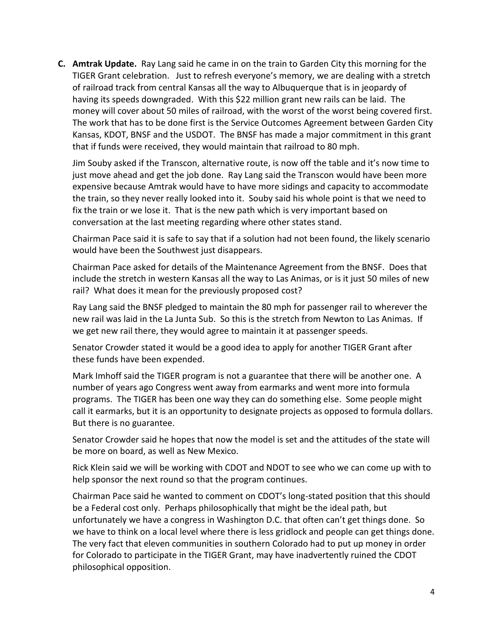**C. Amtrak Update.** Ray Lang said he came in on the train to Garden City this morning for the TIGER Grant celebration. Just to refresh everyone's memory, we are dealing with a stretch of railroad track from central Kansas all the way to Albuquerque that is in jeopardy of having its speeds downgraded. With this \$22 million grant new rails can be laid. The money will cover about 50 miles of railroad, with the worst of the worst being covered first. The work that has to be done first is the Service Outcomes Agreement between Garden City Kansas, KDOT, BNSF and the USDOT. The BNSF has made a major commitment in this grant that if funds were received, they would maintain that railroad to 80 mph.

Jim Souby asked if the Transcon, alternative route, is now off the table and it's now time to just move ahead and get the job done. Ray Lang said the Transcon would have been more expensive because Amtrak would have to have more sidings and capacity to accommodate the train, so they never really looked into it. Souby said his whole point is that we need to fix the train or we lose it. That is the new path which is very important based on conversation at the last meeting regarding where other states stand.

Chairman Pace said it is safe to say that if a solution had not been found, the likely scenario would have been the Southwest just disappears.

Chairman Pace asked for details of the Maintenance Agreement from the BNSF. Does that include the stretch in western Kansas all the way to Las Animas, or is it just 50 miles of new rail? What does it mean for the previously proposed cost?

Ray Lang said the BNSF pledged to maintain the 80 mph for passenger rail to wherever the new rail was laid in the La Junta Sub. So this is the stretch from Newton to Las Animas. If we get new rail there, they would agree to maintain it at passenger speeds.

Senator Crowder stated it would be a good idea to apply for another TIGER Grant after these funds have been expended.

Mark Imhoff said the TIGER program is not a guarantee that there will be another one. A number of years ago Congress went away from earmarks and went more into formula programs. The TIGER has been one way they can do something else. Some people might call it earmarks, but it is an opportunity to designate projects as opposed to formula dollars. But there is no guarantee.

Senator Crowder said he hopes that now the model is set and the attitudes of the state will be more on board, as well as New Mexico.

Rick Klein said we will be working with CDOT and NDOT to see who we can come up with to help sponsor the next round so that the program continues.

Chairman Pace said he wanted to comment on CDOT's long-stated position that this should be a Federal cost only. Perhaps philosophically that might be the ideal path, but unfortunately we have a congress in Washington D.C. that often can't get things done. So we have to think on a local level where there is less gridlock and people can get things done. The very fact that eleven communities in southern Colorado had to put up money in order for Colorado to participate in the TIGER Grant, may have inadvertently ruined the CDOT philosophical opposition.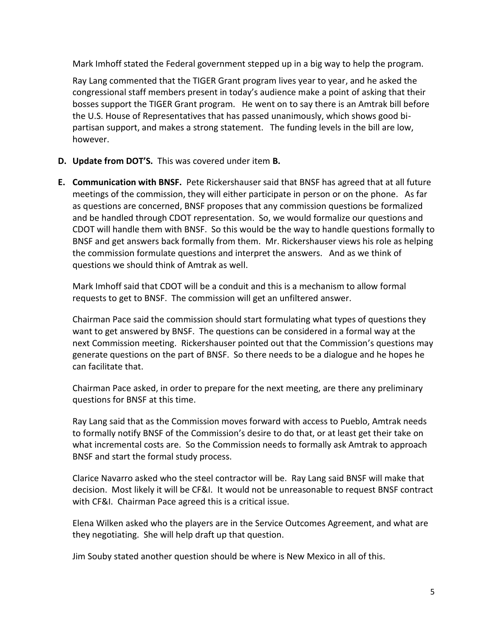Mark Imhoff stated the Federal government stepped up in a big way to help the program.

Ray Lang commented that the TIGER Grant program lives year to year, and he asked the congressional staff members present in today's audience make a point of asking that their bosses support the TIGER Grant program. He went on to say there is an Amtrak bill before the U.S. House of Representatives that has passed unanimously, which shows good bipartisan support, and makes a strong statement. The funding levels in the bill are low, however.

- **D. Update from DOT'S.** This was covered under item **B.**
- **E. Communication with BNSF.** Pete Rickershauser said that BNSF has agreed that at all future meetings of the commission, they will either participate in person or on the phone. As far as questions are concerned, BNSF proposes that any commission questions be formalized and be handled through CDOT representation. So, we would formalize our questions and CDOT will handle them with BNSF. So this would be the way to handle questions formally to BNSF and get answers back formally from them. Mr. Rickershauser views his role as helping the commission formulate questions and interpret the answers. And as we think of questions we should think of Amtrak as well.

Mark Imhoff said that CDOT will be a conduit and this is a mechanism to allow formal requests to get to BNSF. The commission will get an unfiltered answer.

Chairman Pace said the commission should start formulating what types of questions they want to get answered by BNSF. The questions can be considered in a formal way at the next Commission meeting. Rickershauser pointed out that the Commission's questions may generate questions on the part of BNSF. So there needs to be a dialogue and he hopes he can facilitate that.

Chairman Pace asked, in order to prepare for the next meeting, are there any preliminary questions for BNSF at this time.

Ray Lang said that as the Commission moves forward with access to Pueblo, Amtrak needs to formally notify BNSF of the Commission's desire to do that, or at least get their take on what incremental costs are. So the Commission needs to formally ask Amtrak to approach BNSF and start the formal study process.

Clarice Navarro asked who the steel contractor will be. Ray Lang said BNSF will make that decision. Most likely it will be CF&I. It would not be unreasonable to request BNSF contract with CF&I. Chairman Pace agreed this is a critical issue.

Elena Wilken asked who the players are in the Service Outcomes Agreement, and what are they negotiating. She will help draft up that question.

Jim Souby stated another question should be where is New Mexico in all of this.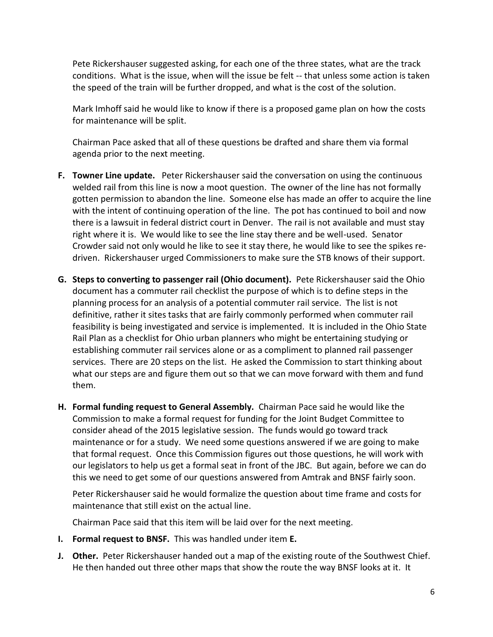Pete Rickershauser suggested asking, for each one of the three states, what are the track conditions. What is the issue, when will the issue be felt -- that unless some action is taken the speed of the train will be further dropped, and what is the cost of the solution.

Mark Imhoff said he would like to know if there is a proposed game plan on how the costs for maintenance will be split.

Chairman Pace asked that all of these questions be drafted and share them via formal agenda prior to the next meeting.

- **F. Towner Line update.** Peter Rickershauser said the conversation on using the continuous welded rail from this line is now a moot question. The owner of the line has not formally gotten permission to abandon the line. Someone else has made an offer to acquire the line with the intent of continuing operation of the line. The pot has continued to boil and now there is a lawsuit in federal district court in Denver. The rail is not available and must stay right where it is. We would like to see the line stay there and be well-used. Senator Crowder said not only would he like to see it stay there, he would like to see the spikes redriven. Rickershauser urged Commissioners to make sure the STB knows of their support.
- **G. Steps to converting to passenger rail (Ohio document).** Pete Rickershauser said the Ohio document has a commuter rail checklist the purpose of which is to define steps in the planning process for an analysis of a potential commuter rail service. The list is not definitive, rather it sites tasks that are fairly commonly performed when commuter rail feasibility is being investigated and service is implemented. It is included in the Ohio State Rail Plan as a checklist for Ohio urban planners who might be entertaining studying or establishing commuter rail services alone or as a compliment to planned rail passenger services. There are 20 steps on the list. He asked the Commission to start thinking about what our steps are and figure them out so that we can move forward with them and fund them.
- **H. Formal funding request to General Assembly.** Chairman Pace said he would like the Commission to make a formal request for funding for the Joint Budget Committee to consider ahead of the 2015 legislative session. The funds would go toward track maintenance or for a study. We need some questions answered if we are going to make that formal request. Once this Commission figures out those questions, he will work with our legislators to help us get a formal seat in front of the JBC. But again, before we can do this we need to get some of our questions answered from Amtrak and BNSF fairly soon.

Peter Rickershauser said he would formalize the question about time frame and costs for maintenance that still exist on the actual line.

Chairman Pace said that this item will be laid over for the next meeting.

- **I. Formal request to BNSF.** This was handled under item **E.**
- **J. Other.** Peter Rickershauser handed out a map of the existing route of the Southwest Chief. He then handed out three other maps that show the route the way BNSF looks at it. It